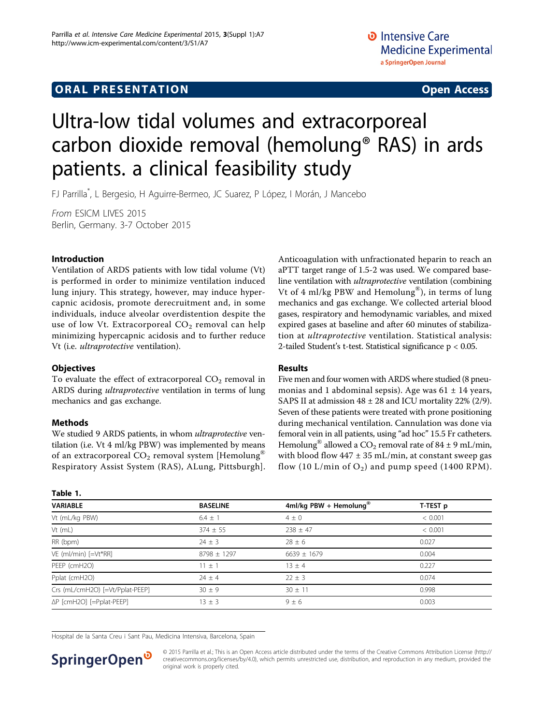### <span id="page-0-0"></span>**ORAL PRESENTATION OPEN ACCESS**

# Ultra-low tidal volumes and extracorporeal carbon dioxide removal (hemolung® RAS) in ards patients. a clinical feasibility study

FJ Parrilla\* , L Bergesio, H Aguirre-Bermeo, JC Suarez, P López, I Morán, J Mancebo

From ESICM LIVES 2015 Berlin, Germany. 3-7 October 2015

#### Introduction

Ventilation of ARDS patients with low tidal volume (Vt) is performed in order to minimize ventilation induced lung injury. This strategy, however, may induce hypercapnic acidosis, promote derecruitment and, in some individuals, induce alveolar overdistention despite the use of low Vt. Extracorporeal  $CO<sub>2</sub>$  removal can help minimizing hypercapnic acidosis and to further reduce Vt (i.e. ultraprotective ventilation).

#### **Objectives**

To evaluate the effect of extracorporeal  $CO<sub>2</sub>$  removal in ARDS during ultraprotective ventilation in terms of lung mechanics and gas exchange.

#### Methods

Table 1.

We studied 9 ARDS patients, in whom *ultraprotective* ventilation (i.e. Vt 4 ml/kg PBW) was implemented by means of an extracorporeal  $CO_2$  removal system [Hemolung<sup>®</sup> Respiratory Assist System (RAS), ALung, Pittsburgh]. Anticoagulation with unfractionated heparin to reach an aPTT target range of 1.5-2 was used. We compared baseline ventilation with ultraprotective ventilation (combining Vt of 4 ml/kg PBW and Hemolung<sup>®</sup>), in terms of lung mechanics and gas exchange. We collected arterial blood gases, respiratory and hemodynamic variables, and mixed expired gases at baseline and after 60 minutes of stabilization at ultraprotective ventilation. Statistical analysis: 2-tailed Student's t-test. Statistical significance p < 0.05.

#### Results

Five men and four women with ARDS where studied (8 pneumonias and 1 abdominal sepsis). Age was  $61 \pm 14$  years, SAPS II at admission  $48 \pm 28$  and ICU mortality 22% (2/9). Seven of these patients were treated with prone positioning during mechanical ventilation. Cannulation was done via femoral vein in all patients, using "ad hoc" 15.5 Fr catheters. Hemolung<sup>®</sup> allowed a CO<sub>2</sub> removal rate of 84 ± 9 mL/min, with blood flow  $447 \pm 35$  mL/min, at constant sweep gas flow (10 L/min of  $O_2$ ) and pump speed (1400 RPM).

| IGNIC I.                        |                 |                                    |          |  |  |
|---------------------------------|-----------------|------------------------------------|----------|--|--|
| <b>VARIABLE</b>                 | <b>BASELINE</b> | 4ml/kg PBW + Hemolung <sup>®</sup> | T-TEST p |  |  |
| Vt (mL/kg PBW)                  | $6.4 \pm 1$     | $4 \pm 0$                          | < 0.001  |  |  |
| Vt (mL)                         | $374 \pm 55$    | $238 \pm 47$                       | < 0.001  |  |  |
| RR (bpm)                        | $24 \pm 3$      | $28 \pm 6$                         | 0.027    |  |  |
| VE (ml/min) [=Vt*RR]            | $8798 \pm 1297$ | $6639 \pm 1679$                    | 0.004    |  |  |
| PEEP (cmH2O)                    | $11 \pm 1$      | $13 + 4$                           | 0.227    |  |  |
| Pplat (cmH2O)                   | $24 \pm 4$      | $22 \pm 3$                         | 0.074    |  |  |
| Crs (mL/cmH2O) [=Vt/Pplat-PEEP] | $30 \pm 9$      | $30 \pm 11$                        | 0.998    |  |  |
| ΔP [cmH2O] [=Pplat-PEEP]        | $13 \pm 3$      | $9 + 6$                            | 0.003    |  |  |

Hospital de la Santa Creu i Sant Pau, Medicina Intensiva, Barcelona, Spain



© 2015 Parrilla et al.; This is an Open Access article distributed under the terms of the Creative Commons Attribution License [\(http://](http://creativecommons.org/licenses/by/4.0) [creativecommons.org/licenses/by/4.0](http://creativecommons.org/licenses/by/4.0)), which permits unrestricted use, distribution, and reproduction in any medium, provided the original work is properly cited.